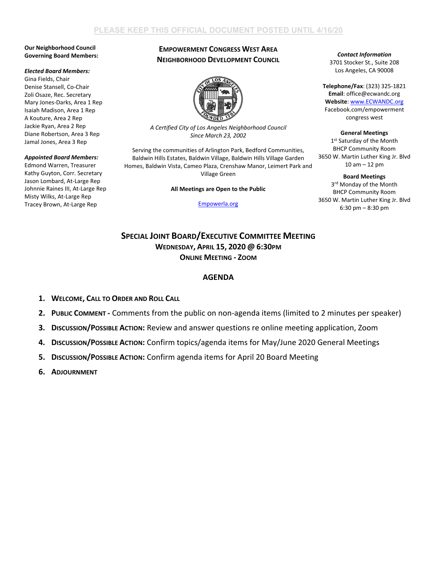### **Our Neighborhood Council Governing Board Members:**

### *Elected Board Members:*

Gina Fields, Chair Denise Stansell, Co-Chair Zoli Osaze, Rec. Secretary Mary Jones-Darks, Area 1 Rep Isaiah Madison, Area 1 Rep A Kouture, Area 2 Rep Jackie Ryan, Area 2 Rep Diane Robertson, Area 3 Rep Jamal Jones, Area 3 Rep

### *Appointed Board Members:*

Edmond Warren, Treasurer Kathy Guyton, Corr. Secretary Jason Lombard, At-Large Rep Johnnie Raines III, At-Large Rep Misty Wilks, At-Large Rep Tracey Brown, At-Large Rep

## **EMPOWERMENT CONGRESS WEST AREA NEIGHBORHOOD DEVELOPMENT COUNCIL**



*A Certified City of Los Angeles Neighborhood Council Since March 23, 2002*

Serving the communities of Arlington Park, Bedford Communities, Baldwin Hills Estates, Baldwin Village, Baldwin Hills Village Garden Homes, Baldwin Vista, Cameo Plaza, Crenshaw Manor, Leimert Park and Village Green

**All Meetings are Open to the Public**

### [Empowerla.org](http://www.empowerla.org/)

*Contact Information* 3701 Stocker St., Suite 208 Los Angeles, CA 90008

**Telephone/Fax**: (323) 325-1821 **Email**: office@ecwandc.org **Website**[: www.ECWANDC.org](http://www.ecwandc.org/) Facebook.com/empowerment congress west

**General Meetings** 1st Saturday of the Month BHCP Community Room 3650 W. Martin Luther King Jr. Blvd 10 am – 12 pm

**Board Meetings** 3<sup>rd</sup> Monday of the Month BHCP Community Room 3650 W. Martin Luther King Jr. Blvd 6:30 pm – 8:30 pm

# **SPECIAL JOINT BOARD/EXECUTIVE COMMITTEE MEETING WEDNESDAY, APRIL 15, 2020 @ 6:30PM ONLINE MEETING - ZOOM**

### **AGENDA**

- **1. WELCOME, CALL TO ORDER AND ROLL CALL**
- **2. PUBLIC COMMENT -** Comments from the public on non-agenda items (limited to 2 minutes per speaker)
- **3. DISCUSSION/POSSIBLE ACTION:** Review and answer questions re online meeting application, Zoom
- **4. DISCUSSION/POSSIBLE ACTION:** Confirm topics/agenda items for May/June 2020 General Meetings
- **5. DISCUSSION/POSSIBLE ACTION:** Confirm agenda items for April 20 Board Meeting
- **6. ADJOURNMENT**